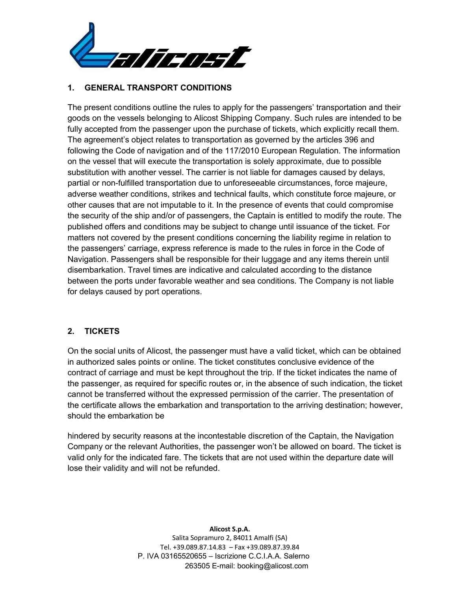

## **1. GENERAL TRANSPORT CONDITIONS**

The present conditions outline the rules to apply for the passengers' transportation and their goods on the vessels belonging to Alicost Shipping Company. Such rules are intended to be fully accepted from the passenger upon the purchase of tickets, which explicitly recall them. The agreement's object relates to transportation as governed by the articles 396 and following the Code of navigation and of the 117/2010 European Regulation. The information on the vessel that will execute the transportation is solely approximate, due to possible substitution with another vessel. The carrier is not liable for damages caused by delays, partial or non-fulfilled transportation due to unforeseeable circumstances, force majeure, adverse weather conditions, strikes and technical faults, which constitute force majeure, or other causes that are not imputable to it. In the presence of events that could compromise the security of the ship and/or of passengers, the Captain is entitled to modify the route. The published offers and conditions may be subject to change until issuance of the ticket. For matters not covered by the present conditions concerning the liability regime in relation to the passengers' carriage, express reference is made to the rules in force in the Code of Navigation. Passengers shall be responsible for their luggage and any items therein until disembarkation. Travel times are indicative and calculated according to the distance between the ports under favorable weather and sea conditions. The Company is not liable for delays caused by port operations.

## **2. TICKETS**

On the social units of Alicost, the passenger must have a valid ticket, which can be obtained in authorized sales points or online. The ticket constitutes conclusive evidence of the contract of carriage and must be kept throughout the trip. If the ticket indicates the name of the passenger, as required for specific routes or, in the absence of such indication, the ticket cannot be transferred without the expressed permission of the carrier. The presentation of the certificate allows the embarkation and transportation to the arriving destination; however, should the embarkation be

hindered by security reasons at the incontestable discretion of the Captain, the Navigation Company or the relevant Authorities, the passenger won't be allowed on board. The ticket is valid only for the indicated fare. The tickets that are not used within the departure date will lose their validity and will not be refunded.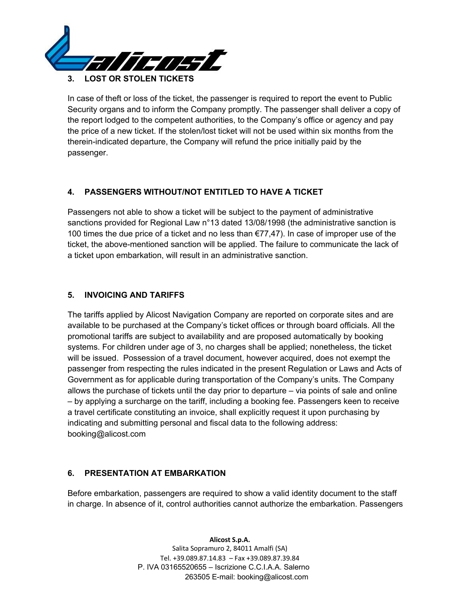

In case of theft or loss of the ticket, the passenger is required to report the event to Public Security organs and to inform the Company promptly. The passenger shall deliver a copy of the report lodged to the competent authorities, to the Company's office or agency and pay the price of a new ticket. If the stolen/lost ticket will not be used within six months from the therein-indicated departure, the Company will refund the price initially paid by the passenger.

# **4. PASSENGERS WITHOUT/NOT ENTITLED TO HAVE A TICKET**

Passengers not able to show a ticket will be subject to the payment of administrative sanctions provided for Regional Law n°13 dated 13/08/1998 (the administrative sanction is 100 times the due price of a ticket and no less than €77,47). In case of improper use of the ticket, the above-mentioned sanction will be applied. The failure to communicate the lack of a ticket upon embarkation, will result in an administrative sanction.

## **5. INVOICING AND TARIFFS**

The tariffs applied by Alicost Navigation Company are reported on corporate sites and are available to be purchased at the Company's ticket offices or through board officials. All the promotional tariffs are subject to availability and are proposed automatically by booking systems. For children under age of 3, no charges shall be applied; nonetheless, the ticket will be issued. Possession of a travel document, however acquired, does not exempt the passenger from respecting the rules indicated in the present Regulation or Laws and Acts of Government as for applicable during transportation of the Company's units. The Company allows the purchase of tickets until the day prior to departure – via points of sale and online – by applying a surcharge on the tariff, including a booking fee. Passengers keen to receive a travel certificate constituting an invoice, shall explicitly request it upon purchasing by indicating and submitting personal and fiscal data to the following address: booking@alicost.com

## **6. PRESENTATION AT EMBARKATION**

Before embarkation, passengers are required to show a valid identity document to the staff in charge. In absence of it, control authorities cannot authorize the embarkation. Passengers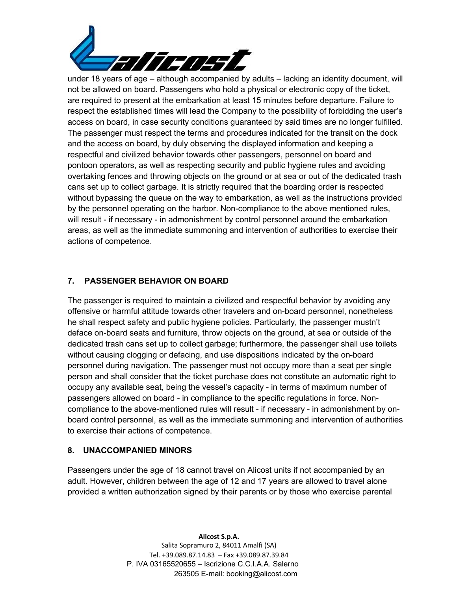

under 18 years of age – although accompanied by adults – lacking an identity document, will not be allowed on board. Passengers who hold a physical or electronic copy of the ticket, are required to present at the embarkation at least 15 minutes before departure. Failure to respect the established times will lead the Company to the possibility of forbidding the user's access on board, in case security conditions guaranteed by said times are no longer fulfilled. The passenger must respect the terms and procedures indicated for the transit on the dock and the access on board, by duly observing the displayed information and keeping a respectful and civilized behavior towards other passengers, personnel on board and pontoon operators, as well as respecting security and public hygiene rules and avoiding overtaking fences and throwing objects on the ground or at sea or out of the dedicated trash cans set up to collect garbage. It is strictly required that the boarding order is respected without bypassing the queue on the way to embarkation, as well as the instructions provided by the personnel operating on the harbor. Non-compliance to the above mentioned rules, will result - if necessary - in admonishment by control personnel around the embarkation areas, as well as the immediate summoning and intervention of authorities to exercise their actions of competence.

## **7. PASSENGER BEHAVIOR ON BOARD**

The passenger is required to maintain a civilized and respectful behavior by avoiding any offensive or harmful attitude towards other travelers and on-board personnel, nonetheless he shall respect safety and public hygiene policies. Particularly, the passenger mustn't deface on-board seats and furniture, throw objects on the ground, at sea or outside of the dedicated trash cans set up to collect garbage; furthermore, the passenger shall use toilets without causing clogging or defacing, and use dispositions indicated by the on-board personnel during navigation. The passenger must not occupy more than a seat per single person and shall consider that the ticket purchase does not constitute an automatic right to occupy any available seat, being the vessel's capacity - in terms of maximum number of passengers allowed on board - in compliance to the specific regulations in force. Noncompliance to the above-mentioned rules will result - if necessary - in admonishment by onboard control personnel, as well as the immediate summoning and intervention of authorities to exercise their actions of competence.

## **8. UNACCOMPANIED MINORS**

Passengers under the age of 18 cannot travel on Alicost units if not accompanied by an adult. However, children between the age of 12 and 17 years are allowed to travel alone provided a written authorization signed by their parents or by those who exercise parental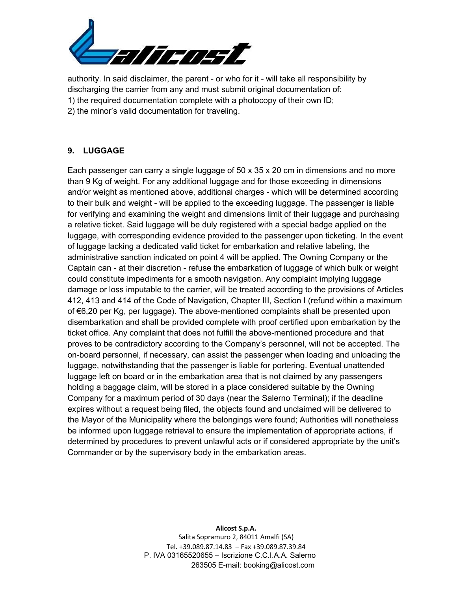

authority. In said disclaimer, the parent - or who for it - will take all responsibility by discharging the carrier from any and must submit original documentation of: 1) the required documentation complete with a photocopy of their own ID; 2) the minor's valid documentation for traveling.

#### **9. LUGGAGE**

Each passenger can carry a single luggage of 50 x 35 x 20 cm in dimensions and no more than 9 Kg of weight. For any additional luggage and for those exceeding in dimensions and/or weight as mentioned above, additional charges - which will be determined according to their bulk and weight - will be applied to the exceeding luggage. The passenger is liable for verifying and examining the weight and dimensions limit of their luggage and purchasing a relative ticket. Said luggage will be duly registered with a special badge applied on the luggage, with corresponding evidence provided to the passenger upon ticketing. In the event of luggage lacking a dedicated valid ticket for embarkation and relative labeling, the administrative sanction indicated on point 4 will be applied. The Owning Company or the Captain can - at their discretion - refuse the embarkation of luggage of which bulk or weight could constitute impediments for a smooth navigation. Any complaint implying luggage damage or loss imputable to the carrier, will be treated according to the provisions of Articles 412, 413 and 414 of the Code of Navigation, Chapter III, Section I (refund within a maximum of €6,20 per Kg, per luggage). The above-mentioned complaints shall be presented upon disembarkation and shall be provided complete with proof certified upon embarkation by the ticket office. Any complaint that does not fulfill the above-mentioned procedure and that proves to be contradictory according to the Company's personnel, will not be accepted. The on-board personnel, if necessary, can assist the passenger when loading and unloading the luggage, notwithstanding that the passenger is liable for portering. Eventual unattended luggage left on board or in the embarkation area that is not claimed by any passengers holding a baggage claim, will be stored in a place considered suitable by the Owning Company for a maximum period of 30 days (near the Salerno Terminal); if the deadline expires without a request being filed, the objects found and unclaimed will be delivered to the Mayor of the Municipality where the belongings were found; Authorities will nonetheless be informed upon luggage retrieval to ensure the implementation of appropriate actions, if determined by procedures to prevent unlawful acts or if considered appropriate by the unit's Commander or by the supervisory body in the embarkation areas.

#### **Alicost S.p.A.**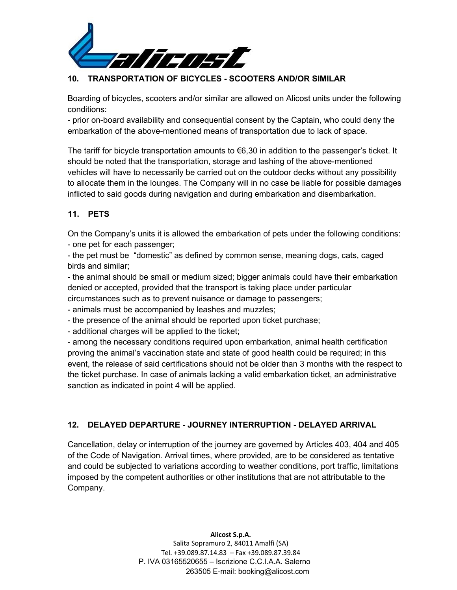

## **10. TRANSPORTATION OF BICYCLES - SCOOTERS AND/OR SIMILAR**

Boarding of bicycles, scooters and/or similar are allowed on Alicost units under the following conditions:

- prior on-board availability and consequential consent by the Captain, who could deny the embarkation of the above-mentioned means of transportation due to lack of space.

The tariff for bicycle transportation amounts to €6,30 in addition to the passenger's ticket. It should be noted that the transportation, storage and lashing of the above-mentioned vehicles will have to necessarily be carried out on the outdoor decks without any possibility to allocate them in the lounges. The Company will in no case be liable for possible damages inflicted to said goods during navigation and during embarkation and disembarkation.

# **11. PETS**

On the Company's units it is allowed the embarkation of pets under the following conditions: - one pet for each passenger;

- the pet must be "domestic" as defined by common sense, meaning dogs, cats, caged birds and similar;

- the animal should be small or medium sized; bigger animals could have their embarkation denied or accepted, provided that the transport is taking place under particular circumstances such as to prevent nuisance or damage to passengers;

- animals must be accompanied by leashes and muzzles;

- the presence of the animal should be reported upon ticket purchase;

- additional charges will be applied to the ticket;

- among the necessary conditions required upon embarkation, animal health certification proving the animal's vaccination state and state of good health could be required; in this event, the release of said certifications should not be older than 3 months with the respect to the ticket purchase. In case of animals lacking a valid embarkation ticket, an administrative sanction as indicated in point 4 will be applied.

## **12. DELAYED DEPARTURE - JOURNEY INTERRUPTION - DELAYED ARRIVAL**

Cancellation, delay or interruption of the journey are governed by Articles 403, 404 and 405 of the Code of Navigation. Arrival times, where provided, are to be considered as tentative and could be subjected to variations according to weather conditions, port traffic, limitations imposed by the competent authorities or other institutions that are not attributable to the Company.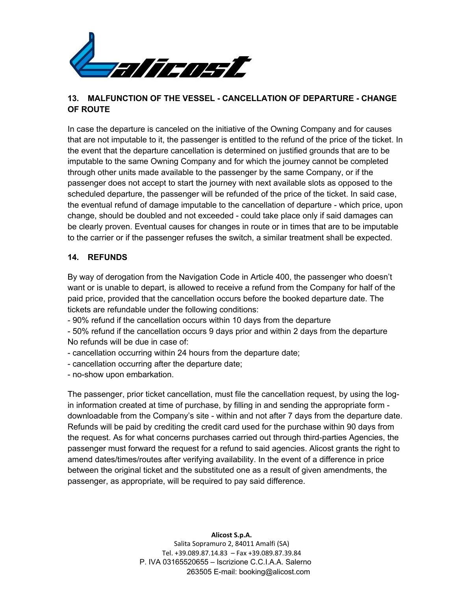

## **13. MALFUNCTION OF THE VESSEL - CANCELLATION OF DEPARTURE - CHANGE OF ROUTE**

In case the departure is canceled on the initiative of the Owning Company and for causes that are not imputable to it, the passenger is entitled to the refund of the price of the ticket. In the event that the departure cancellation is determined on justified grounds that are to be imputable to the same Owning Company and for which the journey cannot be completed through other units made available to the passenger by the same Company, or if the passenger does not accept to start the journey with next available slots as opposed to the scheduled departure, the passenger will be refunded of the price of the ticket. In said case, the eventual refund of damage imputable to the cancellation of departure - which price, upon change, should be doubled and not exceeded - could take place only if said damages can be clearly proven. Eventual causes for changes in route or in times that are to be imputable to the carrier or if the passenger refuses the switch, a similar treatment shall be expected.

#### **14. REFUNDS**

By way of derogation from the Navigation Code in Article 400, the passenger who doesn't want or is unable to depart, is allowed to receive a refund from the Company for half of the paid price, provided that the cancellation occurs before the booked departure date. The tickets are refundable under the following conditions:

- 90% refund if the cancellation occurs within 10 days from the departure

- 50% refund if the cancellation occurs 9 days prior and within 2 days from the departure No refunds will be due in case of:

- cancellation occurring within 24 hours from the departure date;
- cancellation occurring after the departure date;

- no-show upon embarkation.

The passenger, prior ticket cancellation, must file the cancellation request, by using the login information created at time of purchase, by filling in and sending the appropriate form downloadable from the Company's site - within and not after 7 days from the departure date. Refunds will be paid by crediting the credit card used for the purchase within 90 days from the request. As for what concerns purchases carried out through third-parties Agencies, the passenger must forward the request for a refund to said agencies. Alicost grants the right to amend dates/times/routes after verifying availability. In the event of a difference in price between the original ticket and the substituted one as a result of given amendments, the passenger, as appropriate, will be required to pay said difference.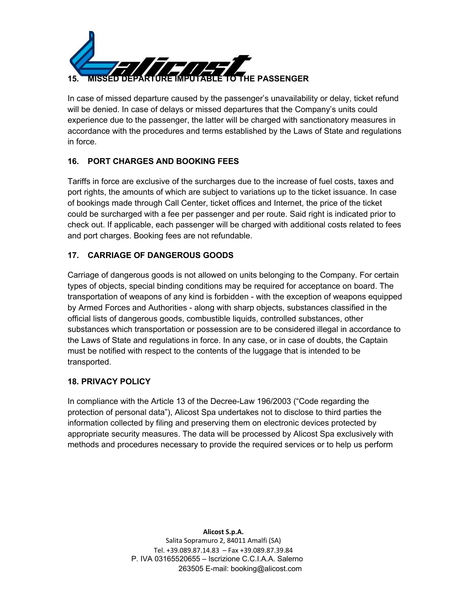

In case of missed departure caused by the passenger's unavailability or delay, ticket refund will be denied. In case of delays or missed departures that the Company's units could experience due to the passenger, the latter will be charged with sanctionatory measures in accordance with the procedures and terms established by the Laws of State and regulations in force.

# **16. PORT CHARGES AND BOOKING FEES**

Tariffs in force are exclusive of the surcharges due to the increase of fuel costs, taxes and port rights, the amounts of which are subject to variations up to the ticket issuance. In case of bookings made through Call Center, ticket offices and Internet, the price of the ticket could be surcharged with a fee per passenger and per route. Said right is indicated prior to check out. If applicable, each passenger will be charged with additional costs related to fees and port charges. Booking fees are not refundable.

# **17. CARRIAGE OF DANGEROUS GOODS**

Carriage of dangerous goods is not allowed on units belonging to the Company. For certain types of objects, special binding conditions may be required for acceptance on board. The transportation of weapons of any kind is forbidden - with the exception of weapons equipped by Armed Forces and Authorities - along with sharp objects, substances classified in the official lists of dangerous goods, combustible liquids, controlled substances, other substances which transportation or possession are to be considered illegal in accordance to the Laws of State and regulations in force. In any case, or in case of doubts, the Captain must be notified with respect to the contents of the luggage that is intended to be transported.

## **18. PRIVACY POLICY**

In compliance with the Article 13 of the Decree-Law 196/2003 ("Code regarding the protection of personal data"), Alicost Spa undertakes not to disclose to third parties the information collected by filing and preserving them on electronic devices protected by appropriate security measures. The data will be processed by Alicost Spa exclusively with methods and procedures necessary to provide the required services or to help us perform